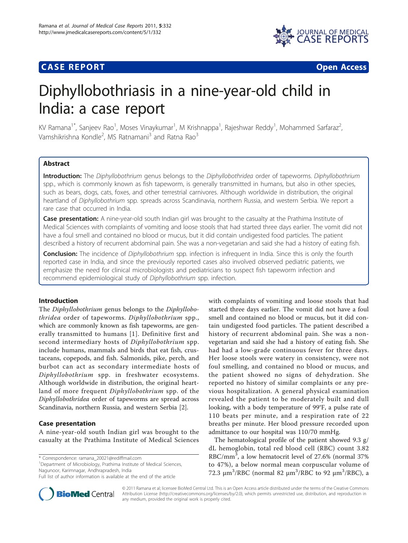

## **CASE REPORT CASE REPORT CASE REPORT**

# Diphyllobothriasis in a nine-year-old child in India: a case report

KV Ramana<sup>1\*</sup>, Sanjeev Rao<sup>1</sup>, Moses Vinaykumar<sup>1</sup>, M Krishnappa<sup>1</sup>, Rajeshwar Reddy<sup>1</sup>, Mohammed Sarfaraz<sup>2</sup> , Vamshikrishna Kondle<sup>2</sup>, MS Ratnamani<sup>3</sup> and Ratna Rao<sup>3</sup>

### Abstract

Introduction: The Diphyllobothrium genus belongs to the Diphyllobothridea order of tapeworms. Diphyllobothrium spp., which is commonly known as fish tapeworm, is generally transmitted in humans, but also in other species, such as bears, dogs, cats, foxes, and other terrestrial carnivores. Although worldwide in distribution, the original heartland of Diphyllobothrium spp. spreads across Scandinavia, northern Russia, and western Serbia. We report a rare case that occurred in India.

Case presentation: A nine-year-old south Indian girl was brought to the casualty at the Prathima Institute of Medical Sciences with complaints of vomiting and loose stools that had started three days earlier. The vomit did not have a foul smell and contained no blood or mucus, but it did contain undigested food particles. The patient described a history of recurrent abdominal pain. She was a non-vegetarian and said she had a history of eating fish.

Conclusion: The incidence of Diphyllobothrium spp. infection is infrequent in India. Since this is only the fourth reported case in India, and since the previously reported cases also involved observed pediatric patients, we emphasize the need for clinical microbiologists and pediatricians to suspect fish tapeworm infection and recommend epidemiological study of Diphyllobothrium spp. infection.

### Introduction

The Diphyllobothrium genus belongs to the Diphyllobothridea order of tapeworms. Diphyllobothrium spp., which are commonly known as fish tapeworms, are generally transmitted to humans [\[1\]](#page-2-0). Definitive first and second intermediary hosts of Diphyllobothrium spp. include humans, mammals and birds that eat fish, crustaceans, copepods, and fish. Salmonids, pike, perch, and burbot can act as secondary intermediate hosts of Diphyllobothrium spp. in freshwater ecosystems. Although worldwide in distribution, the original heartland of more frequent Diphyllobothrium spp. of the Diphyllobothridea order of tapeworms are spread across Scandinavia, northern Russia, and western Serbia [[2\]](#page-2-0).

#### Case presentation

A nine-year-old south Indian girl was brought to the casualty at the Prathima Institute of Medical Sciences

\* Correspondence: [ramana\\_20021@rediffmail.com](mailto:ramana_20021@rediffmail.com)

<sup>1</sup>Department of Microbiology, Prathima Institute of Medical Sciences, Nagunoor, Karimnagar, Andhrapradesh, India



The hematological profile of the patient showed 9.3 g/ dL hemoglobin, total red blood cell (RBC) count 3.82 RBC/mm<sup>3</sup>, a low hematocrit level of 27.6% (normal 37% to 47%), a below normal mean corpuscular volume of 72.3 μm<sup>3</sup>/RBC (normal 82 μm<sup>3</sup>/RBC to 92 μm<sup>3</sup>/RBC), a



© 2011 Ramana et al; licensee BioMed Central Ltd. This is an Open Access article distributed under the terms of the Creative Commons Attribution License [\(http://creativecommons.org/licenses/by/2.0](http://creativecommons.org/licenses/by/2.0)), which permits unrestricted use, distribution, and reproduction in any medium, provided the original work is properly cited.

Full list of author information is available at the end of the article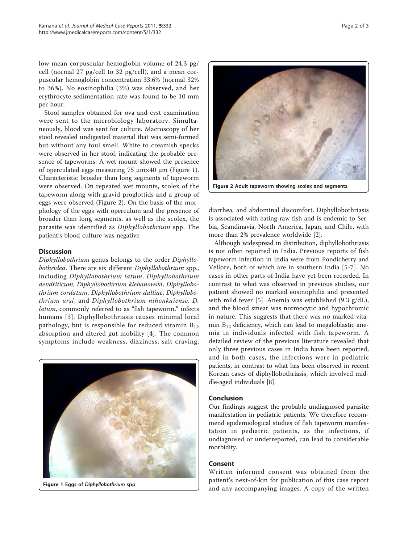low mean corpuscular hemoglobin volume of 24.3 pg/ cell (normal 27 pg/cell to 32 pg/cell), and a mean corpuscular hemoglobin concentration 33.6% (normal 32% to 36%). No eosinophilia (3%) was observed, and her erythrocyte sedimentation rate was found to be 10 mm per hour.

Stool samples obtained for ova and cyst examination were sent to the microbiology laboratory. Simultaneously, blood was sent for culture. Macroscopy of her stool revealed undigested material that was semi-formed but without any foul smell. White to creamish specks were observed in her stool, indicating the probable presence of tapeworms. A wet mount showed the presence of operculated eggs measuring 75 μm×40 μm (Figure 1). Characteristic broader than long segments of tapeworm were observed. On repeated wet mounts, scolex of the tapeworm along with gravid proglottids and a group of eggs were observed (Figure 2). On the basis of the morphology of the eggs with operculum and the presence of broader than long segments, as well as the scolex, the parasite was identified as Diphyllobothrium spp. The patient's blood culture was negative.

#### **Discussion**

Diphyllobothrium genus belongs to the order Diphyllobothridea. There are six different Diphyllobothrium spp., including Diphyllobothrium latum, Diphyllobothrium dendriticum, Diphyllobothrium klebanowski, Diphyllobothrium cordatum, Diphyllobothrium dalliae, Diphyllobothrium ursi, and Diphyllobothrium nihonkaiense. D. latum, commonly referred to as "fish tapeworm," infects humans [\[3\]](#page-2-0). Diphyllobothriasis causes minimal local pathology, but is responsible for reduced vitamin  $B_{12}$ absorption and altered gut mobility [[4](#page-2-0)]. The common symptoms include weakness, dizziness, salt craving,



Figure 2 Adult tapeworm showing scolex and segments.

diarrhea, and abdominal discomfort. Diphyllobothriasis is associated with eating raw fish and is endemic to Serbia, Scandinavia, North America, Japan, and Chile, with more than 2% prevalence worldwide [[2\]](#page-2-0).

Although widespread in distribution, diphyllobothriasis is not often reported in India. Previous reports of fish tapeworm infection in India were from Pondicherry and Vellore, both of which are in southern India [[5-7\]](#page-2-0). No cases in other parts of India have yet been recorded. In contrast to what was observed in previous studies, our patient showed no marked eosinophilia and presented with mild fever [[5](#page-2-0)]. Anemia was established (9.3 g/dL), and the blood smear was normocytic and hypochromic in nature. This suggests that there was no marked vitamin  $B_{12}$  deficiency, which can lead to megaloblastic anemia in individuals infected with fish tapeworm. A detailed review of the previous literature revealed that only three previous cases in India have been reported, and in both cases, the infections were in pediatric patients, in contrast to what has been observed in recent Korean cases of diphyllobothriasis, which involved middle-aged individuals [\[8](#page-2-0)].

### Conclusion

Our findings suggest the probable undiagnosed parasite manifestation in pediatric patients. We therefore recommend epidemiological studies of fish tapeworm manifestation in pediatric patients, as the infections, if undiagnosed or underreported, can lead to considerable morbidity.

#### Consent

Written informed consent was obtained from the patient's next-of-kin for publication of this case report Figure 1 Eggs of Diphyllobothrium spp.<br>and any accompanying images. A copy of the written